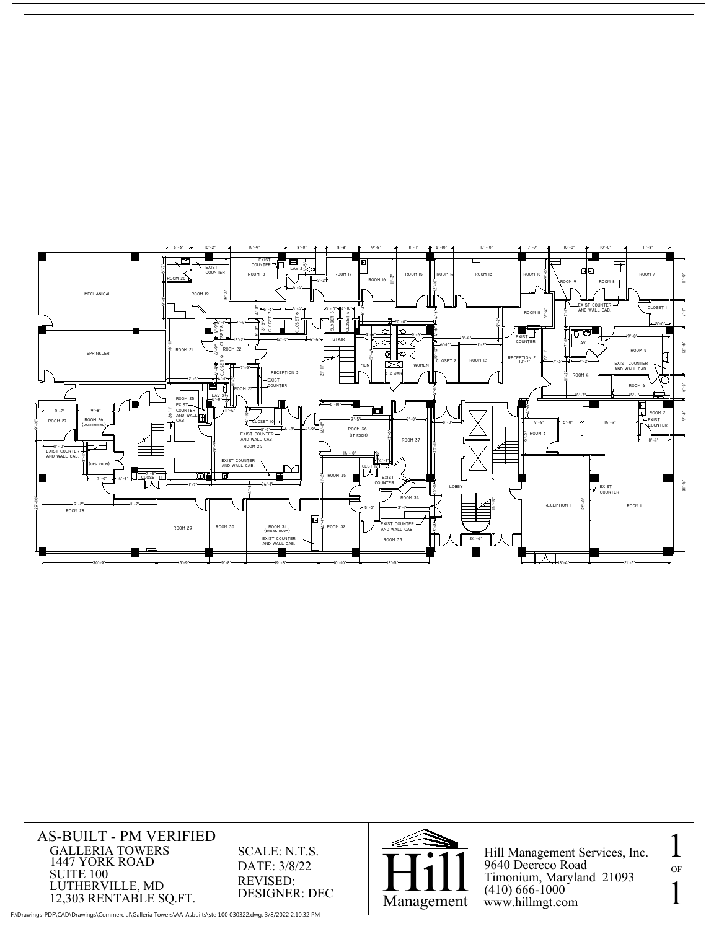